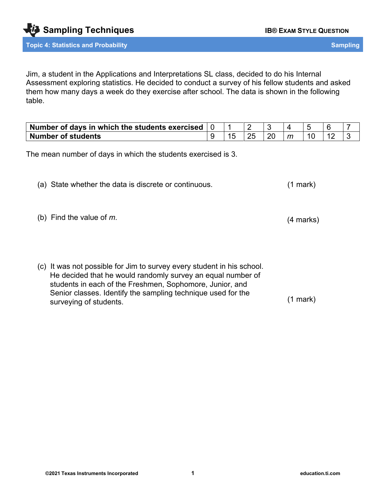Jim, a student in the Applications and Interpretations SL class, decided to do his Internal Assessment exploring statistics. He decided to conduct a survey of his fellow students and asked them how many days a week do they exercise after school. The data is shown in the following table.

| Number of days in which the students exercised |  |  |   |  |  |
|------------------------------------------------|--|--|---|--|--|
| <b>Number of students</b>                      |  |  | m |  |  |

The mean number of days in which the students exercised is 3.

| (a) State whether the data is discrete or continuous. | $(1$ mark $)$ |  |
|-------------------------------------------------------|---------------|--|
|-------------------------------------------------------|---------------|--|

(b) Find the value of *m*.

(c) It was not possible for Jim to survey every student in his school. He decided that he would randomly survey an equal number of students in each of the Freshmen, Sophomore, Junior, and Senior classes. Identify the sampling technique used for the surveying of students. (1 mark)

(4 marks)